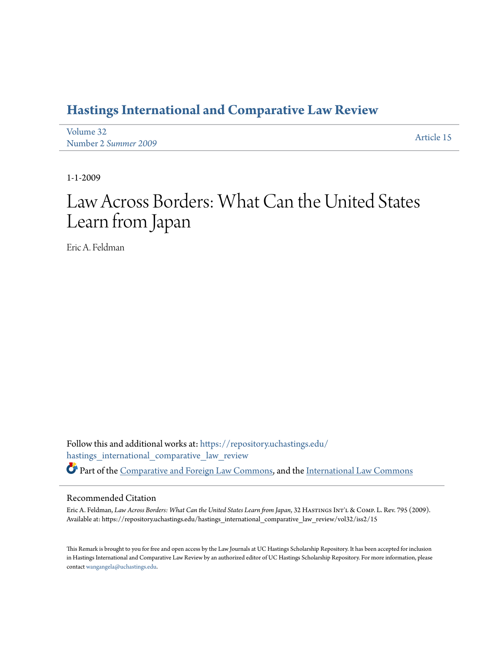# **[Hastings International and Comparative Law Review](https://repository.uchastings.edu/hastings_international_comparative_law_review?utm_source=repository.uchastings.edu%2Fhastings_international_comparative_law_review%2Fvol32%2Fiss2%2F15&utm_medium=PDF&utm_campaign=PDFCoverPages)**

| Volume 32            | Article 15 |
|----------------------|------------|
| Number 2 Summer 2009 |            |

1-1-2009

# Law Across Borders: What Can the United States Learn from Japan

Eric A. Feldman

Follow this and additional works at: [https://repository.uchastings.edu/](https://repository.uchastings.edu/hastings_international_comparative_law_review?utm_source=repository.uchastings.edu%2Fhastings_international_comparative_law_review%2Fvol32%2Fiss2%2F15&utm_medium=PDF&utm_campaign=PDFCoverPages) [hastings\\_international\\_comparative\\_law\\_review](https://repository.uchastings.edu/hastings_international_comparative_law_review?utm_source=repository.uchastings.edu%2Fhastings_international_comparative_law_review%2Fvol32%2Fiss2%2F15&utm_medium=PDF&utm_campaign=PDFCoverPages) Part of the [Comparative and Foreign Law Commons](http://network.bepress.com/hgg/discipline/836?utm_source=repository.uchastings.edu%2Fhastings_international_comparative_law_review%2Fvol32%2Fiss2%2F15&utm_medium=PDF&utm_campaign=PDFCoverPages), and the [International Law Commons](http://network.bepress.com/hgg/discipline/609?utm_source=repository.uchastings.edu%2Fhastings_international_comparative_law_review%2Fvol32%2Fiss2%2F15&utm_medium=PDF&utm_campaign=PDFCoverPages)

#### Recommended Citation

Eric A. Feldman, *Law Across Borders: What Can the United States Learn from Japan*, 32 HastingsInt'l & Comp. L. Rev. 795 (2009). Available at: https://repository.uchastings.edu/hastings\_international\_comparative\_law\_review/vol32/iss2/15

This Remark is brought to you for free and open access by the Law Journals at UC Hastings Scholarship Repository. It has been accepted for inclusion in Hastings International and Comparative Law Review by an authorized editor of UC Hastings Scholarship Repository. For more information, please contact [wangangela@uchastings.edu](mailto:wangangela@uchastings.edu).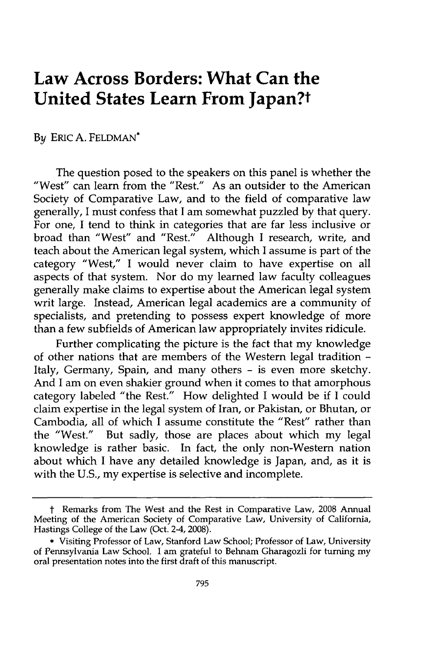# **Law Across Borders: What Can the United States Learn From Japan?t**

#### By ERIC A. FELDMAN\*

The question posed to the speakers on this panel is whether the "West" can learn from the "Rest." As an outsider to the American Society of Comparative Law, and to the field of comparative law generally, I must confess that I am somewhat puzzled by that query. For one, I tend to think in categories that are far less inclusive or broad than "West" and "Rest." Although I research, write, and teach about the American legal system, which I assume is part of the category "West," I would never claim to have expertise on all aspects of that system. Nor do my learned law faculty colleagues generally make claims to expertise about the American legal system writ large. Instead, American legal academics are a community of specialists, and pretending to possess expert knowledge of more than a few subfields of American law appropriately invites ridicule.

Further complicating the picture is the fact that my knowledge of other nations that are members of the Western legal tradition - Italy, Germany, Spain, and many others - is even more sketchy. And I am on even shakier ground when it comes to that amorphous category labeled "the Rest." How delighted I would be if I could claim expertise in the legal system of Iran, or Pakistan, or Bhutan, or Cambodia, all of which I assume constitute the "Rest" rather than the "West." But sadly, those are places about which my legal knowledge is rather basic. In fact, the only non-Western nation about which I have any detailed knowledge is Japan, and, as it is with the U.S., my expertise is selective and incomplete.

t Remarks from The West and the Rest in Comparative Law, 2008 Annual Meeting of the American Society of Comparative Law, University of California, Hastings College of the Law (Oct. 2-4, 2008).

<sup>\*</sup> Visiting Professor of Law, Stanford Law School; Professor of Law, University of Pennsylvania Law School. I am grateful to Behnam Gharagozli for turning my oral presentation notes into the first draft of this manuscript.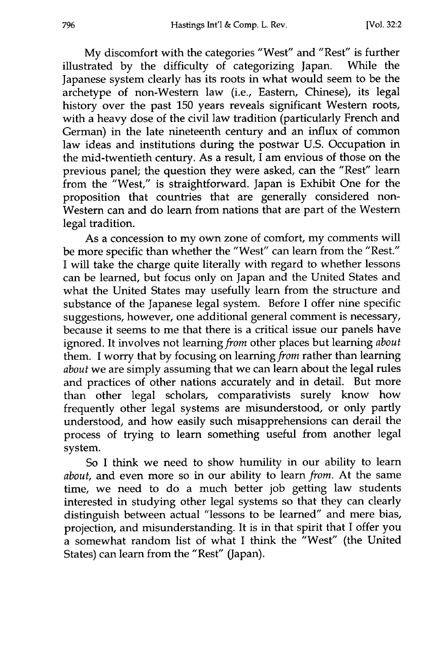My discomfort with the categories "West" and "Rest" is further illustrated by the difficulty of categorizing Japan. While the Japanese system clearly has its roots in what would seem to be the archetype of non-Western law (i.e., Eastern, Chinese), its legal history over the past 150 years reveals significant Western roots, with a heavy dose of the civil law tradition (particularly French and German) in the late nineteenth century and an influx of common law ideas and institutions during the postwar U.S. Occupation in the mid-twentieth century. As a result,  $\overrightarrow{l}$  am envious of those on the previous panel; the question they were asked, can the "Rest" learn from the "West," is straightforward. Japan is Exhibit One for the proposition that countries that are generally considered non-Western can and do learn from nations that are part of the Western legal tradition.

As a concession to my own zone of comfort, my comments will be more specific than whether the "West" can learn from the "Rest." I will take the charge quite literally with regard to whether lessons can be learned, but focus only on Japan and the United States and what the United States may usefully learn from the structure and substance of the Japanese legal system. Before I offer nine specific suggestions, however, one additional general comment is necessary, because it seems to me that there is a critical issue our panels have ignored. It involves not learning *from* other places but learning *about* them. I worry that by focusing on learning *from* rather than learning *about* we are simply assuming that we can learn about the legal rules and practices of other nations accurately and in detail. But more than other legal scholars, comparativists surely know how frequently other legal systems are misunderstood, or only partly understood, and how easily such misapprehensions can derail the process of trying to learn something useful from another legal system.

So I think we need to show humility in our ability to learn *about,* and even more so in our ability to learn *from.* At the same time, we need to do a much better job getting law students interested in studying other legal systems so that they can clearly distinguish between actual "lessons to be learned" and mere bias, projection, and misunderstanding. It is in that spirit that I offer you a somewhat random list of what I think the "West" (the United States) can learn from the "Rest" (Japan).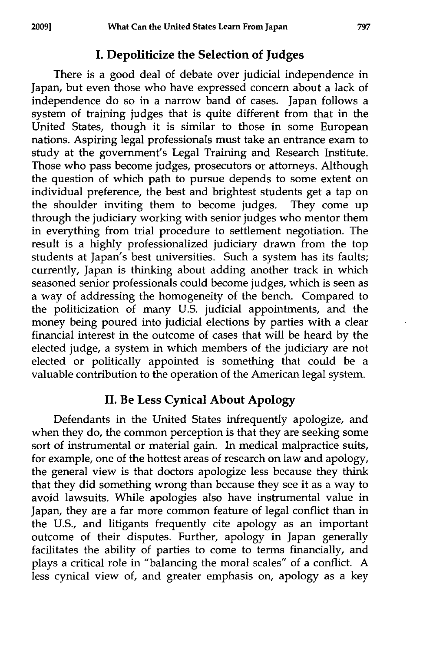## **I. Depoliticize the Selection of Judges**

There is a good deal of debate over judicial independence in Japan, but even those who have expressed concern about a lack of independence do so in a narrow band of cases. Japan follows a system of training judges that is quite different from that in the United States, though it is similar to those in some European nations. Aspiring legal professionals must take an entrance exam to study at the government's Legal Training and Research Institute. Those who pass become judges, prosecutors or attorneys. Although the question of which path to pursue depends to some extent on individual preference, the best and brightest students get a tap on the shoulder inviting them to become judges. They come up through the judiciary working with senior judges who mentor them in everything from trial procedure to settlement negotiation. The result is a **highly** professionalized judiciary drawn from the top students at Japan's best universities. Such a system has its faults; currently, Japan is thinking about adding another track in which seasoned senior professionals could become judges, which is seen as a way of addressing the homogeneity of the bench. Compared to the politicization of many **U.S.** judicial appointments, and the money being poured into judicial elections **by** parties with a clear financial interest in the outcome of cases that will be heard **by** the elected judge, a system in which members of the judiciary are not elected or politically appointed is something that could be a valuable contribution to the operation of the American legal system.

### **II. Be** Less **Cynical About Apology**

Defendants in the United States infrequently apologize, and when they do, the common perception is that they are seeking some sort of instrumental or material gain. In medical malpractice suits, for example, one of the hottest areas of research on law and apology, the general view is that doctors apologize less because they think that they did something wrong than because they see it as a way to avoid lawsuits. While apologies also have instrumental value in Japan, they are a far more common feature of legal conflict than in the U.S., and litigants frequently cite apology as an important outcome of their disputes. Further, apology in Japan generally facilitates the ability of parties to come to terms financially, and plays a critical role in "balancing the moral scales" of a conflict. A less cynical view of, and greater emphasis on, apology as a key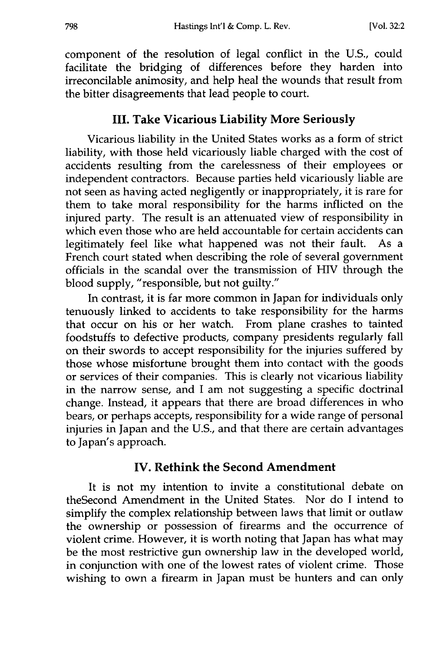component of the resolution of legal conflict in the U.S., could facilitate the bridging of differences before they harden into irreconcilable animosity, and help heal the wounds that result from the bitter disagreements that lead people to court.

#### **III.** Take Vicarious Liability More Seriously

Vicarious liability in the United States works as a form of strict liability, with those held vicariously liable charged with the cost of accidents resulting from the carelessness of their employees or independent contractors. Because parties held vicariously liable are not seen as having acted negligently or inappropriately, it is rare for them to take moral responsibility for the harms inflicted on the injured party. The result is an attenuated view of responsibility in which even those who are held accountable for certain accidents can legitimately feel like what happened was not their fault. As a French court stated when describing the role of several government officials in the scandal over the transmission of HIV through the blood supply, "responsible, but not guilty."

In contrast, it is far more common in Japan for individuals only tenuously linked to accidents to take responsibility for the harms that occur on his or her watch. From plane crashes to tainted foodstuffs to defective products, company presidents regularly fall on their swords to accept responsibility for the injuries suffered by those whose misfortune brought them into contact with the goods or services of their companies. This is clearly not vicarious liability in the narrow sense, and I am not suggesting a specific doctrinal change. Instead, it appears that there are broad differences in who bears, or perhaps accepts, responsibility for a wide range of personal injuries in Japan and the U.S., and that there are certain advantages to Japan's approach.

#### **IV. Rethink the Second Amendment**

It is not my intention to invite a constitutional debate on theSecond Amendment in the United States. Nor do I intend to simplify the complex relationship between laws that limit or outlaw the ownership or possession of firearms and the occurrence of violent crime. However, it is worth noting that Japan has what may be the most restrictive gun ownership law in the developed world, in conjunction with one of the lowest rates of violent crime. Those wishing to own a firearm in Japan must be hunters and can only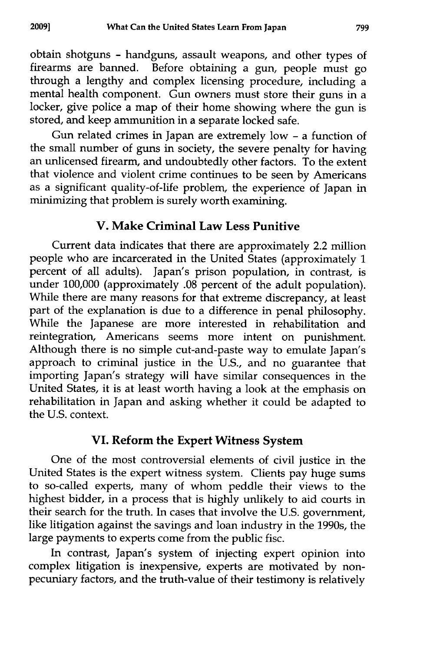obtain shotguns **-** handguns, assault weapons, and other types of firearms are banned. Before obtaining a gun, people must go through a lengthy and complex licensing procedure, including a mental health component. Gun owners must store their guns in a locker, give police a map of their home showing where the gun is stored, and keep ammunition in a separate locked safe.

Gun related crimes in Japan are extremely low - a function of the small number of guns in society, the severe penalty for having an unlicensed firearm, and undoubtedly other factors. To the extent that violence and violent crime continues to be seen by Americans as a significant quality-of-life problem, the experience of Japan in minimizing that problem is surely worth examining.

#### **V. Make Criminal Law Less Punitive**

Current data indicates that there are approximately 2.2 million people who are incarcerated in the United States (approximately 1 percent of all adults). Japan's prison population, in contrast, is under 100,000 (approximately .08 percent of the adult population). While there are many reasons for that extreme discrepancy, at least part of the explanation is due to a difference in penal philosophy. While the Japanese are more interested in rehabilitation and reintegration, Americans seems more intent on punishment. Although there is no simple cut-and-paste way to emulate Japan's approach to criminal justice in the U.S., and no guarantee that importing Japan's strategy will have similar consequences in the United States, it is at least worth having a look at the emphasis on rehabilitation in Japan and asking whether it could be adapted to the U.S. context.

#### **VI. Reform the Expert Witness System**

One of the most controversial elements of civil justice in the United States is the expert witness system. Clients pay huge sums to so-called experts, many of whom peddle their views to the highest bidder, in a process that is highly unlikely to aid courts in their search for the truth. In cases that involve the U.S. government, like litigation against the savings and loan industry in the 1990s, the large payments to experts come from the public fisc.

In contrast, Japan's system of injecting expert opinion into complex litigation is inexpensive, experts are motivated by nonpecuniary factors, and the truth-value of their testimony is relatively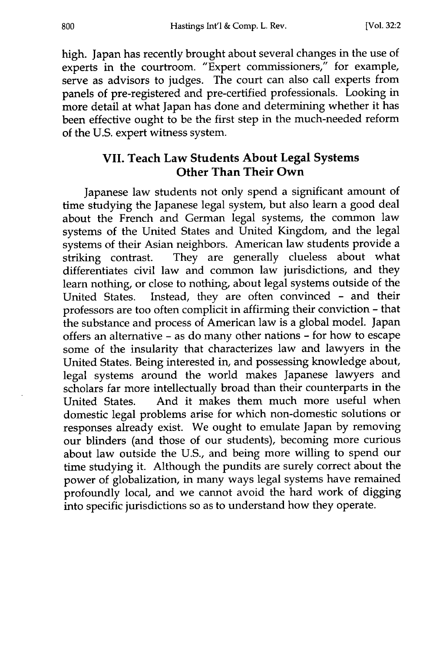high. Japan has recently brought about several changes in the use of experts in the courtroom. "Expert commissioners," for example, serve as advisors to judges. The court can also call experts from panels of pre-registered and pre-certified professionals. Looking in more detail at what Japan has done and determining whether it has been effective ought to be the first step in the much-needed reform of the U.S. expert witness system.

#### **VII. Teach Law Students About Legal Systems Other Than Their Own**

Japanese law students not only spend a significant amount of time studying the Japanese legal system, but also learn a good deal about the French and German legal systems, the common law systems of the United States and United Kingdom, and the legal systems of their Asian neighbors. American law students provide a striking contrast. They are generally clueless about what differentiates civil law and common law jurisdictions, and they learn nothing, or close to nothing, about legal systems outside of the United States. Instead, they are often convinced - and their professors are too often complicit in affirming their conviction - that the substance and process of American law is a global model. Japan offers an alternative - as do many other nations - for how to escape some of the insularity that characterizes law and lawyers in the United States. Being interested in, and possessing knowledge about, legal systems around the world makes Japanese lawyers and scholars far more intellectually broad than their counterparts in the United States. And it makes them much more useful when domestic legal problems arise for which non-domestic solutions or responses already exist. We ought to emulate Japan by removing our blinders (and those of our students), becoming more curious about law outside the U.S., and being more willing to spend our time studying it. Although the pundits are surely correct about the power of globalization, in many ways legal systems have remained profoundly local, and we cannot avoid the hard work of digging into specific jurisdictions so as to understand how they operate.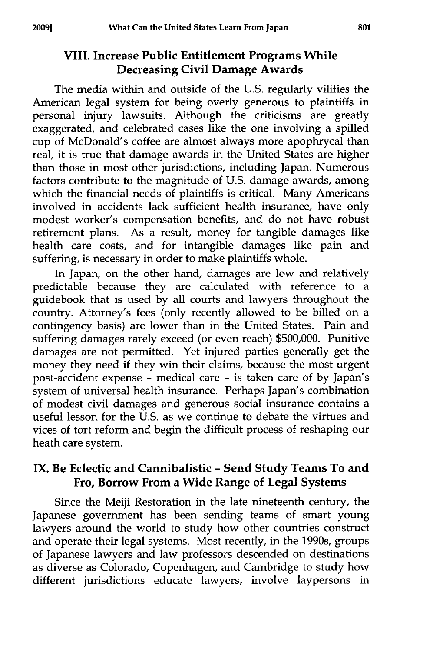### **VIII. Increase Public Entitlement Programs While Decreasing Civil Damage Awards**

**The media** within and outside of the **U.S.** regularly vilifies the American legal system for being overly generous to plaintiffs ir personal injury lawsuits. Although the criticisms are greatly exaggerated, and celebrated cases like the one involving a spilled cup of McDonald's coffee are almost always more apophrycal than real, it is true that damage awards in the United States are higher than those in most other jurisdictions, including Japan. Numerous factors contribute to the magnitude of **U.S.** damage awards, among which the financial needs of plaintiffs is critical. Many Americans involved in accidents lack sufficient health insurance, have only modest worker's compensation benefits, and do not have robust retirement plans. As a result, money for tangible damages like health care costs, and for intangible damages like pain and suffering, is necessary in order to make plaintiffs whole.

In Japan, on the other hand, damages are low and relatively predictable because they are calculated with reference to a guidebook that is used by all courts and lawyers throughout the country. Attorney's fees (only recently allowed to be billed on a contingency basis) are lower than in the United States. Pain and suffering damages rarely exceed (or even reach) \$500,000. Punitive damages are not permitted. Yet injured parties generally get the money they need if they win their claims, because the most urgent post-accident expense **-** medical care - is taken care of by Japan's system of universal health insurance. Perhaps Japan's combination of modest civil damages and generous social insurance contains a useful lesson for the U.S. as we continue to debate the virtues and vices of tort reform and begin the difficult process of reshaping our heath care system.

#### **IX. Be Eclectic and Cannibalistic - Send Study Teams To and Fro, Borrow From a Wide Range of Legal Systems**

Since the Meiji Restoration in the late nineteenth century, the Japanese government has been sending teams of smart young lawyers around the world to study how other countries construct and operate their legal systems. Most recently, in the 1990s, groups of Japanese lawyers and law professors descended on destinations as diverse as Colorado, Copenhagen, and Cambridge to study how different jurisdictions educate lawyers, involve laypersons in